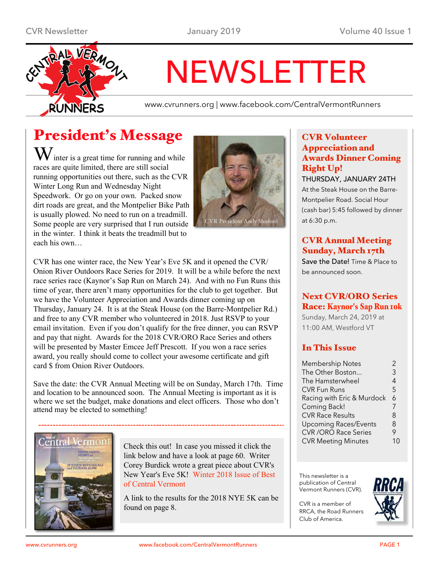

# NEWSLETTER

www.cvrunners.org | www.facebook.com/CentralVermontRunners

# President's Message

 $\mathbf W$  inter is a great time for running and while races are quite limited, there are still social running opportunities out there, such as the CVR Winter Long Run and Wednesday Night Speedwork. Or go on your own. Packed snow dirt roads are great, and the Montpelier Bike Path is usually plowed. No need to run on a treadmill. Some people are very surprised that I run outside in the winter. I think it beats the treadmill but to each his own…



CVR has one winter race, the New Year's Eve 5K and it opened the CVR/ Onion River Outdoors Race Series for 2019. It will be a while before the next race series race (Kaynor's Sap Run on March 24). And with no Fun Runs this time of year, there aren't many opportunities for the club to get together. But we have the Volunteer Appreciation and Awards dinner coming up on Thursday, January 24. It is at the Steak House (on the Barre-Montpelier Rd.) and free to any CVR member who volunteered in 2018. Just RSVP to your email invitation. Even if you don't qualify for the free dinner, you can RSVP and pay that night. Awards for the 2018 CVR/ORO Race Series and others will be presented by Master Emcee Jeff Prescott. If you won a race series award, you really should come to collect your awesome certificate and gift card \$ from Onion River Outdoors.

Save the date: the CVR Annual Meeting will be on Sunday, March 17th. Time and location to be announced soon. The Annual Meeting is important as it is where we set the budget, make donations and elect officers. Those who don't attend may be elected to something!



Check this out! In case you missed it click the link below and have a look at page 60. Writer Corey Burdick wrote a great piece about CVR's New Year's Eve 5K! [Winter](http://www.bestofcentralvt.com/2018/12/17/185647/in-this-issue-winter-2018) 2018 Issue of Best of Central [Vermont](http://www.bestofcentralvt.com/2018/12/17/185647/in-this-issue-winter-2018)

A link to the results for the 2018 NYE 5K can be found on page 8.

## CVR Volunteer Appreciation and Awards Dinner Coming Right Up!

THURSDAY, JANUARY 24TH

At the Steak House on the Barre-Montpelier Road. Social Hour (cash bar) 5:45 followed by dinner at 6:30 p.m.

## CVR Annual Meeting Sunday, March 17th

Save the Date! Time & Place to be announced soon.

## Next CVR/ORO Series Race: [Kaynor](http://www.gmaa.net/schedule.php?raceid=SAP2019)'s Sap Run 10k

Sunday, March 24, 2019 at 11:00 AM, Westford VT

## In This Issue

| The Other Boston<br>3<br>The Hamsterwheel<br>4<br>5<br><b>CVR Fun Runs</b> | $\mathcal{P}$ |
|----------------------------------------------------------------------------|---------------|
|                                                                            |               |
|                                                                            |               |
|                                                                            |               |
| Racing with Eric & Murdock<br>6                                            |               |
| Coming Back!<br>7                                                          |               |
| <b>CVR Race Results</b><br>8                                               |               |
| <b>Upcoming Races/Events</b><br>8                                          |               |
| <b>CVR /ORO Race Series</b><br>9                                           |               |
| <b>CVR Meeting Minutes</b>                                                 |               |

This newsletter is a publication of Central Vermont Runners (CVR).

CVR is a member of RRCA, the Road Runners Club of America.

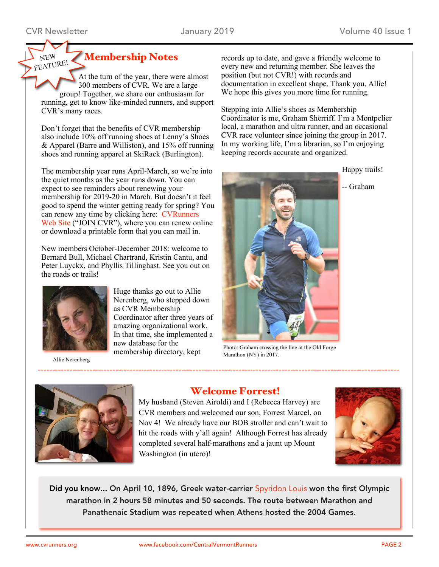NEW

# Membership Notes

At the turn of the year, there were almost 300 members of CVR. We are a large group! Together, we share our enthusiasm for running, get to know like-minded runners, and support CVR's many races. FEATURE!

Don't forget that the benefits of CVR membership also include 10% off running shoes at Lenny's Shoes & Apparel (Barre and Williston), and 15% off running shoes and running apparel at SkiRack (Burlington).

The membership year runs April-March, so we're into the quiet months as the year runs down. You can expect to see reminders about renewing your membership for 2019-20 in March. But doesn't it feel good to spend the winter getting ready for spring? You can renew any time by clicking here: [CVRunners](http://cvrunners.org/?page_id=11) [Web](http://cvrunners.org/?page_id=11) Site ("JOIN CVR"), where you can renew online or download a printable form that you can mail in.

New members October-December 2018: welcome to Bernard Bull, Michael Chartrand, Kristin Cantu, and Peter Luyckx, and Phyllis Tillinghast. See you out on the roads or trails!



Huge thanks go out to Allie Nerenberg, who stepped down as CVR Membership Coordinator after three years of amazing organizational work. In that time, she implemented a new database for the membership directory, kept

Allie Nerenberg

records up to date, and gave a friendly welcome to every new and returning member. She leaves the position (but not CVR!) with records and documentation in excellent shape. Thank you, Allie! We hope this gives you more time for running.

Stepping into Allie's shoes as Membership Coordinator is me, Graham Sherriff. I'm a Montpelier local, a marathon and ultra runner, and an occasional CVR race volunteer since joining the group in 2017. In my working life, I'm a librarian, so I'm enjoying keeping records accurate and organized.



Photo: Graham crossing the line at the Old Forge Marathon (NY) in 2017.



## Welcome Forrest!

My husband (Steven Airoldi) and I (Rebecca Harvey) are CVR members and welcomed our son, Forrest Marcel, on Nov 4! We already have our BOB stroller and can't wait to hit the roads with y'all again! Although Forrest has already completed several half-marathons and a jaunt up Mount Washington (in utero)!



Did you know... On April 10, 1896, Greek water-carrier [Spyridon](https://en.wikipedia.org/wiki/Spyridon_Louis) Louis won the first Olympic marathon in 2 hours 58 minutes and 50 seconds. The route between Marathon and Panathenaic Stadium was repeated when Athens hosted the 2004 Games.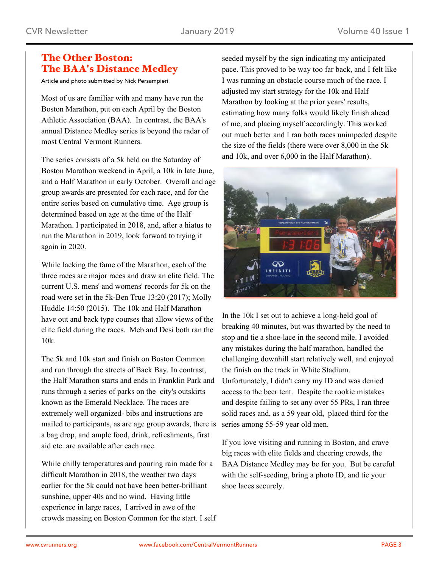## The Other Boston: The BAA's Distance Medley

Article and photo submitted by Nick Persampieri

Most of us are familiar with and many have run the Boston Marathon, put on each April by the Boston Athletic Association (BAA). In contrast, the BAA's annual Distance Medley series is beyond the radar of most Central Vermont Runners.

The series consists of a 5k held on the Saturday of Boston Marathon weekend in April, a 10k in late June, and a Half Marathon in early October. Overall and age group awards are presented for each race, and for the entire series based on cumulative time. Age group is determined based on age at the time of the Half Marathon. I participated in 2018, and, after a hiatus to run the Marathon in 2019, look forward to trying it again in 2020.

While lacking the fame of the Marathon, each of the three races are major races and draw an elite field. The current U.S. mens' and womens' records for 5k on the road were set in the 5k-Ben True 13:20 (2017); Molly Huddle 14:50 (2015). The 10k and Half Marathon have out and back type courses that allow views of the elite field during the races. Meb and Desi both ran the 10k.

The 5k and 10k start and finish on Boston Common and run through the streets of Back Bay. In contrast, the Half Marathon starts and ends in Franklin Park and runs through a series of parks on the city's outskirts known as the Emerald Necklace. The races are extremely well organized- bibs and instructions are mailed to participants, as are age group awards, there is a bag drop, and ample food, drink, refreshments, first aid etc. are available after each race.

While chilly temperatures and pouring rain made for a difficult Marathon in 2018, the weather two days earlier for the 5k could not have been better-brilliant sunshine, upper 40s and no wind. Having little experience in large races, I arrived in awe of the crowds massing on Boston Common for the start. I self seeded myself by the sign indicating my anticipated pace. This proved to be way too far back, and I felt like I was running an obstacle course much of the race. I adjusted my start strategy for the 10k and Half Marathon by looking at the prior years' results, estimating how many folks would likely finish ahead of me, and placing myself accordingly. This worked out much better and I ran both races unimpeded despite the size of the fields (there were over 8,000 in the 5k and 10k, and over 6,000 in the Half Marathon).



In the 10k I set out to achieve a long-held goal of breaking 40 minutes, but was thwarted by the need to stop and tie a shoe-lace in the second mile. I avoided any mistakes during the half marathon, handled the challenging downhill start relatively well, and enjoyed the finish on the track in White Stadium. Unfortunately, I didn't carry my ID and was denied access to the beer tent. Despite the rookie mistakes and despite failing to set any over 55 PRs, I ran three solid races and, as a 59 year old, placed third for the series among 55-59 year old men.

If you love visiting and running in Boston, and crave big races with elite fields and cheering crowds, the BAA Distance Medley may be for you. But be careful with the self-seeding, bring a photo ID, and tie your shoe laces securely.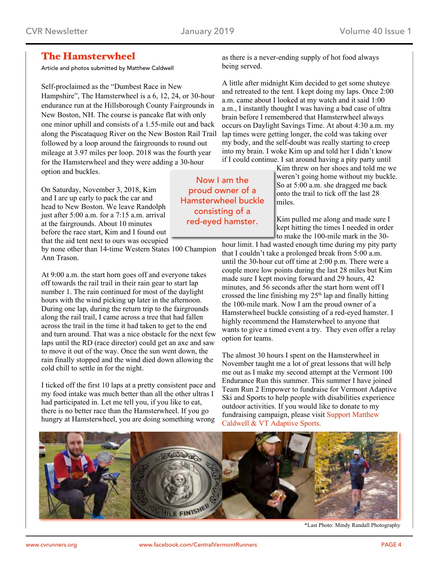## The Hamsterwheel

Article and photos submitted by Matthew Caldwell

Self-proclaimed as the "Dumbest Race in New Hampshire", The Hamsterwheel is a 6, 12, 24, or 30-hour endurance run at the Hillsborough County Fairgrounds in New Boston, NH. The course is pancake flat with only one minor uphill and consists of a 1.55-mile out and back along the Piscataquog River on the New Boston Rail Trail followed by a loop around the fairgrounds to round out mileage at 3.97 miles per loop. 2018 was the fourth year for the Hamsterwheel and they were adding a 30-hour option and buckles.

On Saturday, November 3, 2018, Kim and I are up early to pack the car and head to New Boston. We leave Randolph just after 5:00 a.m. for a 7:15 a.m. arrival at the fairgrounds. About 10 minutes before the race start, Kim and I found out that the aid tent next to ours was occupied

by none other than 14-time Western States 100 Champion Ann Trason.

At 9:00 a.m. the start horn goes off and everyone takes off towards the rail trail in their rain gear to start lap number 1. The rain continued for most of the daylight hours with the wind picking up later in the afternoon. During one lap, during the return trip to the fairgrounds along the rail trail, I came across a tree that had fallen across the trail in the time it had taken to get to the end and turn around. That was a nice obstacle for the next few laps until the RD (race director) could get an axe and saw to move it out of the way. Once the sun went down, the rain finally stopped and the wind died down allowing the cold chill to settle in for the night.

I ticked off the first 10 laps at a pretty consistent pace and my food intake was much better than all the other ultras I had participated in. Let me tell you, if you like to eat, there is no better race than the Hamsterwheel. If you go hungry at Hamsterwheel, you are doing something wrong

as there is a never-ending supply of hot food always being served.

A little after midnight Kim decided to get some shuteye and retreated to the tent. I kept doing my laps. Once 2:00 a.m. came about I looked at my watch and it said 1:00 a.m., I instantly thought I was having a bad case of ultra brain before I remembered that Hamsterwheel always occurs on Daylight Savings Time. At about 4:30 a.m. my lap times were getting longer, the cold was taking over my body, and the self-doubt was really starting to creep into my brain. I woke Kim up and told her I didn't know if I could continue. I sat around having a pity party until

Kim threw on her shoes and told me we weren't going home without my buckle. So at 5:00 a.m. she dragged me back onto the trail to tick off the last 28 miles.

Kim pulled me along and made sure I kept hitting the times I needed in order to make the 100-mile mark in the 30-

hour limit. I had wasted enough time during my pity party that I couldn't take a prolonged break from 5:00 a.m. until the 30-hour cut off time at 2:00 p.m. There were a couple more low points during the last 28 miles but Kim made sure I kept moving forward and 29 hours, 42 minutes, and 56 seconds after the start horn went off I crossed the line finishing my 25<sup>th</sup> lap and finally hitting the 100-mile mark. Now I am the proud owner of a Hamsterwheel buckle consisting of a red-eyed hamster. I highly recommend the Hamsterwheel to anyone that wants to give a timed event a try. They even offer a relay option for teams.

The almost 30 hours I spent on the Hamsterwheel in November taught me a lot of great lessons that will help me out as I make my second attempt at the Vermont 100 Endurance Run this summer. This summer I have joined Team Run 2 Empower to fundraise for Vermont Adaptive Ski and Sports to help people with disabilities experience outdoor activities. If you would like to donate to my fundraising campaign, please visit Support [Matthew](http://www.pledgereg.com/2895/matthewcaldwell) Caldwell & VT [Adaptive](http://www.pledgereg.com/2895/matthewcaldwell) Sports.



\*Last Photo: Mindy Randall Photography

Now I am the proud owner of a Hamsterwheel buckle consisting of a red-eyed hamster.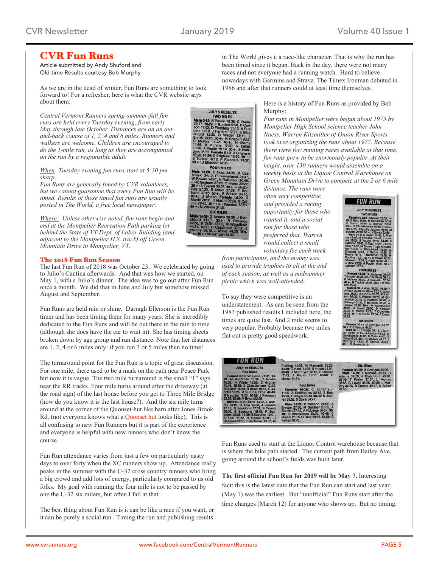ULY 5 RESULTS

## CVR Fun Runs

Article submitted by Andy Shuford and Old-time Results courtesy Bob Murphy

As we are in the dead of winter, Fun Runs are something to look forward to! For a refresher, here is what the CVR website says about them:

*Central Vermont Runners spring-summer-fall fun runs are held every Tuesday evening, from early May through late October. Distances are on an outand-back course of 1, 2, 4 and 6 miles. Runners and walkers are welcome. Children are encouraged to do the 1-mile run, as long as they are accompanied on the run by a responsible adult.*

*When: Tuesday evening fun runs start at 5:30 pm sharp.*

*Fun Runs are generally timed by CVR volunteers, but we cannot guarantee that every Fun Run will be timed. Results of these timed fun runs are usually posted in The World, a free local newspaper.*

*Where: Unless otherwise noted, fun runs begin and end at the Montpelier Recreation Path parking lot behind the State of VT Dept. of Labor Building (and adjacent to the Montpelier H.S. track) off Green Mountain Drive in Montpelier, VT.*

#### The 2018 Fun Run Season

The last Fun Run of 2018 was October 23. We celebrated by going to Julio's Cantina afterwards. And that was how we started, on May 1, with a Julio's dinner. The idea was to go out after Fun Run once a month. We did that in June and July but somehow missed August and September.

Fun Runs are held rain or shine. Darragh Ellerson is the Fun Run timer and has been timing them for many years. She is incredibly dedicated to the Fun Runs and will be out there in the rain to time (although she does have the car to wait in). She has timing sheets broken down by age group and run distance. Note that her distances are 1, 2, 4 or 6 miles only: if you run 3 or 5 miles then no time!

The turnaround point for the Fun Run is a topic of great discussion. For one mile, there used to be a mark on the path near Peace Park but now it is vague. The two mile turnaround is the small "1" sign near the RR tracks. Four mile turns around after the driveway (at the road sign) of the last house before you get to Three Mile Bridge (how do you know it is the last house?). And the six mile turns around at the corner of the Quonset-hut like barn after Jones Brook Rd. (not everyone knows what a [Quonset](https://www.google.com/imgres?imgurl=https%3A%2F%2Fwww.metalgaragekits.com%2Fimages%2Ftype-storage-arch.jpg&imgrefurl=https%3A%2F%2Fwww.metalgaragekits.com%2Fquonset-huts&docid=Fq41K2vpmnjTFM&tbnid=JQ3hvWOSThDoMM%3A&vet=10ahUKEwijhvqyyO3fAhUxm-AKHbrQDCEQMwirASgIMAg..i&w=291&h=194&bih=647&biw=1240&q=quonset%20hut&ved=0ahUKEwijhvqyyO3fAhUxm-AKHbrQDCEQMwirASgIMAg&iact=mrc&uact=8) hut looks like). This is all confusing to new Fun Runners but it is part of the experience and everyone is helpful with new runners who don't know the course.

Fun Run attendance varies from just a few on particularly nasty days to over forty when the XC runners show up. Attendance really peaks in the summer with the U-32 cross country runners who bring a big crowd and add lots of energy, particularly compared to us old folks. My goal with running the four mile is not to be passed by one the U-32 six milers, but often I fail at that.

The best thing about Fun Run is it can be like a race if you want, or it can be purely a social run. Timing the run and publishing results

in The World gives it a race-like character. That is why the run has been timed since it began. Back in the day, there were not many races and not everyone had a running watch. Hard to believe nowadays with Garmins and Strava. The Timex Ironman debuted in 1986 and after that runners could at least time themselves.

> Here is a history of Fun Runs as provided by Bob Murphy:

*Fun runs in Montpelier were begun about 1975 by Montpelier High School science teacher John Naess. Warren Kitzmiller of Onion River Sports took over organizing the runs about 1977. Because there were few running races available at that time, fun runs grew to be enormously popular. At their height, over 130 runners would assemble on a weekly basis at the Liquor Control Warehouse on Green Mountain Drive to compete at the 2 or 6 mile*

*distance. The runs were often very competitive, and provided a racing opportunity for those who wanted it, and a social run for those who preferred that. Warren would collect a small voluntary fee each week*

*from participants, and the money was used to provide trophies to all at the end of each season, as well as a midsummer picnic which was well-attended.*

To say they were competitive is an understatement. As can be seen from the 1983 published results I included here, the times are quite fast. And 2 mile seems to very popular. Probably because two miles flat out is pretty good speedwork.



| <b>FUN RUN</b>                                                                                                                                                                                                                                                                                                                                                                                                                                                                                                                                                                                             |                                                                                                                                                                                                                                                                                                                                                                                                                                                                                                                                     |                                                                                                                                                                                                                                                     |
|------------------------------------------------------------------------------------------------------------------------------------------------------------------------------------------------------------------------------------------------------------------------------------------------------------------------------------------------------------------------------------------------------------------------------------------------------------------------------------------------------------------------------------------------------------------------------------------------------------|-------------------------------------------------------------------------------------------------------------------------------------------------------------------------------------------------------------------------------------------------------------------------------------------------------------------------------------------------------------------------------------------------------------------------------------------------------------------------------------------------------------------------------------|-----------------------------------------------------------------------------------------------------------------------------------------------------------------------------------------------------------------------------------------------------|
| <b>JULY 19 RESULTS</b><br><b>Two Miles</b><br>Female 0-13: W Howe 21:01. 14-<br>29: M Bachman 17:28. C Poulin<br>18:05. H White 18:55. C Gidney<br>19:46, 30-39: S Christiansen 13:52.<br>M Slater 16:42, R Blow 16:44, C Ja-<br>cobs 18:25, M Buttitta 21:57, 40-49:<br>R Nuguist 16:52, 50-59; J Peterson<br>22:26. 60-69: V Bryan 22:26.<br>Male 0-13: S Owen 13:32, L Mur-<br>ray 14:29, G Tosi 14:38, J Joerres<br>17:15. N Sessions 17:31. S Young<br>18:03. B Sessions 18:48. P Ses-<br>sions 25:26. 14-29: S Gardner 10:01,<br>S Tosi 11:12, R Coyne 12:03, C<br>Shepard 13:10, T Bachman 13:37, M | Codling 13:39, M Marinetti 18:20.<br>30-39; G Hass 14:08, B Howe 21:01.<br>40-49: J McEntyre 12:15, P Ohman<br>17:42. A Poulin 18:11, 60-69: D<br>Morse 14:31.<br><b>Four Miles</b><br>Female 14-29: C Schamaun<br>31:00, A DesMeules 32:12, S Betz<br>35:39. T Thaver 35:39. 30-39: N Joer-<br>res 33:52, S Davis 34:47.<br>Male 14-29: P Carlson 24:52, A<br>Brewer 27:30, M Gardner 27:32, A<br>Burdett 27:43, A Roberge 30-57. 30-<br>39: D Henrickson 26:31. 40-49: C<br>Martin 25:15, G Rice 29:35. 50-59: D<br>Kelley 38:45. | <b>Six Miles</b><br>Female 30-39: M Corrigan 45:06.<br>Male 14-29: T Noonan 36:53. G<br>Adams 39:20, J Blatchford 43:28.<br>30-39: T Potter 37:37, L Murray<br>38:58. C Lovell 45:06. 40-49: J Mal-<br>lery 44:56, R Cranse 49:17, N Baker<br>49:33 |

Fun Runs used to start at the Liquor Control warehouse because that is where the bike path started. The current path from Bailey Ave. going around the school's fields was built later.

**The first official Fun Run for 2019 will be May 7.** Interesting fact: this is the latest date that the Fun Run can start and last year (May 1) was the earliest. But "unofficial" Fun Runs start after the time changes (March 12) for anyone who shows up. But no timing.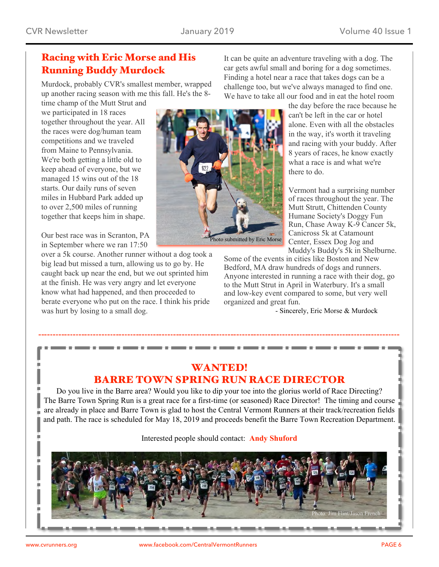## Racing with Eric Morse and His Running Buddy Murdock

Murdock, probably CVR's smallest member, wrapped up another racing season with me this fall. He's the 8-

time champ of the Mutt Strut and we participated in 18 races together throughout the year. All the races were dog/human team competitions and we traveled from Maine to Pennsylvania. We're both getting a little old to keep ahead of everyone, but we managed 15 wins out of the 18 starts. Our daily runs of seven miles in Hubbard Park added up to over 2,500 miles of running together that keeps him in shape.

Our best race was in Scranton, PA in September where we ran 17:50

over a 5k course. Another runner without a dog took a big lead but missed a turn, allowing us to go by. He caught back up near the end, but we out sprinted him at the finish. He was very angry and let everyone know what had happened, and then proceeded to berate everyone who put on the race. I think his pride was hurt by losing to a small dog.



It can be quite an adventure traveling with a dog. The car gets awful small and boring for a dog sometimes. Finding a hotel near a race that takes dogs can be a challenge too, but we've always managed to find one. We have to take all our food and in eat the hotel room

> the day before the race because he can't be left in the car or hotel alone. Even with all the obstacles in the way, it's worth it traveling and racing with your buddy. After 8 years of races, he know exactly what a race is and what we're there to do.

> Vermont had a surprising number of races throughout the year. The Mutt Strutt, Chittenden County Humane Society's Doggy Fun Run, Chase Away K-9 Cancer 5k, Canicross 5k at Catamount Center, Essex Dog Jog and Muddy's Buddy's 5k in Shelburne.

Some of the events in cities like Boston and New Bedford, MA draw hundreds of dogs and runners. Anyone interested in running a race with their dog, go to the Mutt Strut in April in Waterbury. It's a small and low-key event compared to some, but very well organized and great fun.

- Sincerely, Eric Morse & Murdock

## WANTED! BARRE TOWN SPRING RUN RACE DIRECTOR

. . .

. . .

**COMPANY** 

Do you live in the Barre area? Would you like to dip your toe into the glorius world of Race Directing? The Barre Town Spring Run is a great race for a first-time (or seasoned) Race Director! The timing and course are already in place and Barre Town is glad to host the Central Vermont Runners at their track/recreation fields and path. The race is scheduled for May 18, 2019 and proceeds benefit the Barre Town Recreation Department.

Interested people should contact: **Andy [Shuford](mailto:andy.cvr@myfairpoint.net?subject=Barre%20Town%20Race%20Director)**

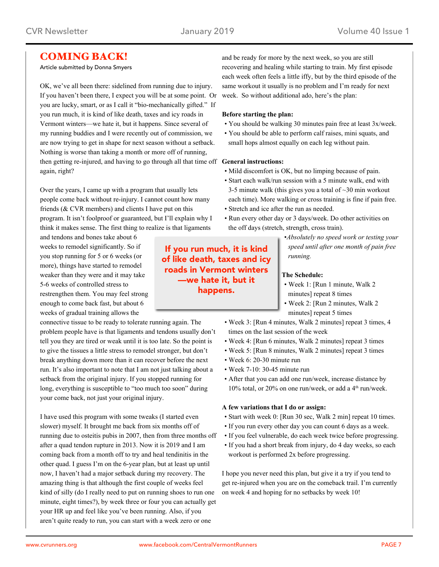## COMING BACK!

#### Article submitted by Donna Smyers

OK, we've all been there: sidelined from running due to injury. If you haven't been there, I expect you will be at some point. Or you are lucky, smart, or as I call it "bio-mechanically gifted." If you run much, it is kind of like death, taxes and icy roads in Vermont winters—we hate it, but it happens. Since several of my running buddies and I were recently out of commission, we are now trying to get in shape for next season without a setback. Nothing is worse than taking a month or more off of running, then getting re-injured, and having to go through all that time off **General instructions:** again, right?

Over the years, I came up with a program that usually lets people come back without re-injury. I cannot count how many friends (& CVR members) and clients I have put on this program. It isn't foolproof or guaranteed, but I'll explain why I think it makes sense. The first thing to realize is that ligaments

and tendons and bones take about 6 weeks to remodel significantly. So if you stop running for 5 or 6 weeks (or more), things have started to remodel weaker than they were and it may take 5-6 weeks of controlled stress to restrengthen them. You may feel strong enough to come back fast, but about 6 weeks of gradual training allows the

connective tissue to be ready to tolerate running again. The problem people have is that ligaments and tendons usually don't tell you they are tired or weak until it is too late. So the point is to give the tissues a little stress to remodel stronger, but don't break anything down more than it can recover before the next run. It's also important to note that I am not just talking about a setback from the original injury. If you stopped running for long, everything is susceptible to "too much too soon" during your come back, not just your original injury.

I have used this program with some tweaks (I started even slower) myself. It brought me back from six months off of running due to osteitis pubis in 2007, then from three months off after a quad tendon rupture in 2013. Now it is 2019 and I am coming back from a month off to try and heal tendinitis in the other quad. I guess I'm on the 6-year plan, but at least up until now, I haven't had a major setback during my recovery. The amazing thing is that although the first couple of weeks feel kind of silly (do I really need to put on running shoes to run one minute, eight times?), by week three or four you can actually get your HR up and feel like you've been running. Also, if you aren't quite ready to run, you can start with a week zero or one

If you run much, it is kind of like death, taxes and icy roads in Vermont winters —we hate it, but it happens.

and be ready for more by the next week, so you are still recovering and healing while starting to train. My first episode each week often feels a little iffy, but by the third episode of the same workout it usually is no problem and I'm ready for next week. So without additional ado, here's the plan:

#### **Before starting the plan:**

- You should be walking 30 minutes pain free at least 3x/week.
- You should be able to perform calf raises, mini squats, and small hops almost equally on each leg without pain.

- Mild discomfort is OK, but no limping because of pain.
- Start each walk/run session with a 5 minute walk, end with 3-5 minute walk (this gives you a total of  $\sim$ 30 min workout each time). More walking or cross training is fine if pain free.
- Stretch and ice after the run as needed.
- Run every other day or 3 days/week. Do other activities on the off days (stretch, strength, cross train).
	- •*Absolutely no speed work or testing your speed until after one month of pain free running.*

#### **The Schedule:**

- Week 1: [Run 1 minute, Walk 2 minutes] repeat 8 times
- Week 2: [Run 2 minutes, Walk 2 minutes] repeat 5 times
- Week 3: [Run 4 minutes, Walk 2 minutes] repeat 3 times, 4 times on the last session of the week
- Week 4: [Run 6 minutes, Walk 2 minutes] repeat 3 times
- Week 5: [Run 8 minutes, Walk 2 minutes] repeat 3 times
- Week 6: 20-30 minute run
- Week 7-10: 30-45 minute run
- After that you can add one run/week, increase distance by  $10\%$  total, or 20% on one run/week, or add a  $4<sup>th</sup>$  run/week.

#### **A few variations that I do or assign:**

- Start with week 0: [Run 30 sec, Walk 2 min] repeat 10 times.
- If you run every other day you can count 6 days as a week.
- If you feel vulnerable, do each week twice before progressing.
- If you had a short break from injury, do 4 day weeks, so each workout is performed 2x before progressing.

I hope you never need this plan, but give it a try if you tend to get re-injured when you are on the comeback trail. I'm currently on week 4 and hoping for no setbacks by week 10!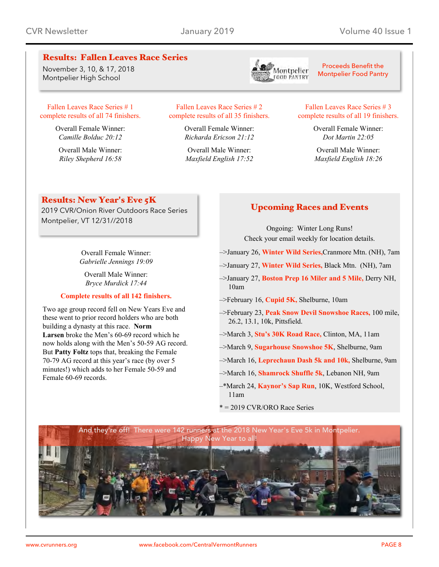## Results: Fallen Leaves Race Series

November 3, 10, & 17, 2018 Montpelier High School



Proceeds Benefit the Montpelier Food Pantry

#### Fallen [Leaves](http://cvrunners.org/wp-content/uploads/2018/11/fallen_leaves_2018_one.pdf) Race Series # 1 complete results of all 74 [finishers.](http://cvrunners.org/wp-content/uploads/2018/11/fallen_leaves_2018_one.pdf)

Overall Female Winner: *Camille Bolduc 20:12*

Overall Male Winner: *Riley Shepherd 16:58*

#### Fallen [Leaves](http://cvrunners.org/wp-content/uploads/2018/11/fallen_leaves_2018_two.pdf) Race Series # 2 complete results of all 35 [finishers.](http://cvrunners.org/wp-content/uploads/2018/11/fallen_leaves_2018_two.pdf)

Overall Female Winner: *Richarda Ericson 21:12*

Overall Male Winner: *Maxfield English 17:52*

#### Fallen [Leaves](http://cvrunners.org/wp-content/uploads/2018/11/fallen_leaves_2018_three.pdf) Race Series # 3 complete results of all 19 [finishers.](http://cvrunners.org/wp-content/uploads/2018/11/fallen_leaves_2018_three.pdf)

Overall Female Winner: *Dot Martin 22:05*

Overall Male Winner: *Maxfield English 18:26*

## Results: New Year's Eve 5K

2019 CVR/Onion River Outdoors Race Series Montpelier, VT 12/31//2018

> Overall Female Winner: *Gabrielle Jennings 19:09*

Overall Male Winner: *Bryce Murdick 17:44*

#### **[Complete](http://cvrunners.org/wp-content/uploads/2019/01/nye5k_combined_2018.pdf) results of all 142 finishers.**

Two age group record fell on New Years Eve and these went to prior record holders who are both building a dynasty at this race. **Norm Larsen** broke the Men's 60-69 record which he now holds along with the Men's 50-59 AG record. But **Patty Foltz** tops that, breaking the Female 70-79 AG record at this year's race (by over 5 minutes!) which adds to her Female 50-59 and Female 60-69 records.

## Upcoming Races and Events

Ongoing: Winter Long Runs! Check your email weekly for location details.

- –>January 26, **[Winter](https://cvrunners.us3.list-manage.com/track/click?u=55198a0a90bc31227a733f573&id=434f34ef99&e=18c790acc9) Wild Series,**Cranmore Mtn. (NH), 7am
- –>January 27, **[Winter](https://cvrunners.us3.list-manage.com/track/click?u=55198a0a90bc31227a733f573&id=529fd9e834&e=18c790acc9) Wild Series,** Black Mtn. (NH), 7am
- –>January 27, **[Boston](https://cvrunners.us3.list-manage.com/track/click?u=55198a0a90bc31227a733f573&id=c58f076e10&e=18c790acc9) Prep 16 Miler and 5 Mile,** Derry NH, 10am
- –>February 16, **[Cupid](https://cvrunners.us3.list-manage.com/track/click?u=55198a0a90bc31227a733f573&id=9efbaa9586&e=18c790acc9) 5K,** Shelburne, 10am
- –>February 23, **Peak Snow Devil [Snowshoe](https://cvrunners.us3.list-manage.com/track/click?u=55198a0a90bc31227a733f573&id=5abe58dea7&e=18c790acc9) Races,** 100 mile, 26.2, 13.1, 10k, Pittsfield.
- –>March 3, **Stu's 30K Road [Race,](https://cvrunners.us3.list-manage.com/track/click?u=55198a0a90bc31227a733f573&id=cca1b52adf&e=18c790acc9)** Clinton, MA, 11am
- –>March 9, **[Sugarhouse](https://cvrunners.us3.list-manage.com/track/click?u=55198a0a90bc31227a733f573&id=c75593e601&e=18c790acc9) Snowshoe 5K**, Shelburne, 9am
- –>March 16, **[Leprechaun](https://cvrunners.us3.list-manage.com/track/click?u=55198a0a90bc31227a733f573&id=c612e88d5b&e=18c790acc9) Dash 5k and 10k,** Shelburne, 9am
- –>March 16, **[Shamrock](https://cvrunners.us3.list-manage.com/track/click?u=55198a0a90bc31227a733f573&id=6350675a93&e=18c790acc9) Shuffle 5k**, Lebanon NH, 9am
- –\*March 24, **[Kaynor's](https://cvrunners.us3.list-manage.com/track/click?u=55198a0a90bc31227a733f573&id=df094ee866&e=18c790acc9) Sap Run**, 10K, Westford School, 11am
- \* = 2019 CVR/ORO Race Series

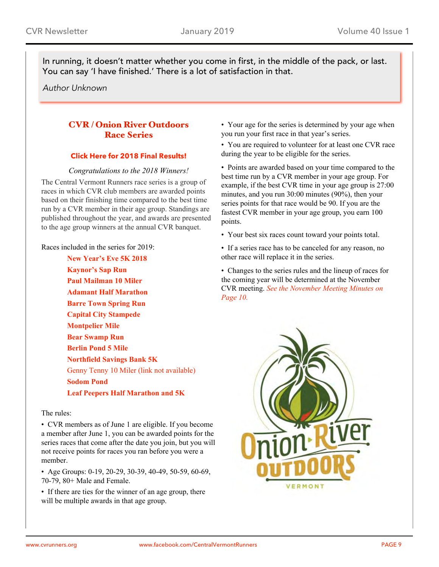In running, it doesn't matter whether you come in first, in the middle of the pack, or last. You can say 'I have finished.' There is a lot of satisfaction in that.

*Author Unknown*

## CVR / Onion River Outdoors Race Series

## **Click Here for 2018 Final [Results!](http://cvrunners.org/wp-content/uploads/2018/11/STANDINGS_111718.pdf)**

## *Congratulations to the 2018 Winners!*

The Central Vermont Runners race series is a group of races in which CVR club members are awarded points based on their finishing time compared to the best time run by a CVR member in their age group. Standings are published throughout the year, and awards are presented to the age group winners at the annual CVR banquet.

Races included in the series for 2019:

**New [Year's](http://cvrunners.org/?page_id=566/) Eve 5K 2018 [Kaynor's](http://www.gmaa.net/schedule.php?raceid=SAP2019) Sap Run Paul [Mailman](http://cvrunners.org/?page_id=328/) 10 Miler Adamant Half [Marathon](http://cvrunners.org/?page_id=71/) Barre Town [Spring](http://cvrunners.org/?page_id=156/) Run Capital City [Stampede](http://cvrunners.org/?page_id=272/) [Montpelier](http://cvrunners.org/?page_id=1506/) Mile Bear [Swamp](http://cvrunners.org/?page_id=341/) Run [Berlin](http://cvrunners.org/?page_id=362/) Pond 5 Mile [Northfield](http://cvrunners.org/?page_id=1397/) Savings Bank 5K** Genny Tenny 10 Miler (link not available) **[Sodom](http://cvrunners.org/?page_id=394/) Pond Leaf Peepers Half [Marathon](http://www.leafpeepershalfmarathon.org/) and 5K**

### The rules:

• CVR members as of June 1 are eligible. If you become a member after June 1, you can be awarded points for the series races that come after the date you join, but you will not receive points for races you ran before you were a member.

• Age Groups: 0-19, 20-29, 30-39, 40-49, 50-59, 60-69, 70-79, 80+ Male and Female.

• If there are ties for the winner of an age group, there will be multiple awards in that age group.

• Your age for the series is determined by your age when you run your first race in that year's series.

• You are required to volunteer for at least one CVR race during the year to be eligible for the series.

• Points are awarded based on your time compared to the best time run by a CVR member in your age group. For example, if the best CVR time in your age group is 27:00 minutes, and you run 30:00 minutes (90%), then your series points for that race would be 90. If you are the fastest CVR member in your age group, you earn 100 points.

- Your best six races count toward your points total.
- If a series race has to be canceled for any reason, no other race will replace it in the series.

• Changes to the series rules and the lineup of races for the coming year will be determined at the November CVR meeting. *See the November Meeting Minutes on Page 10.*

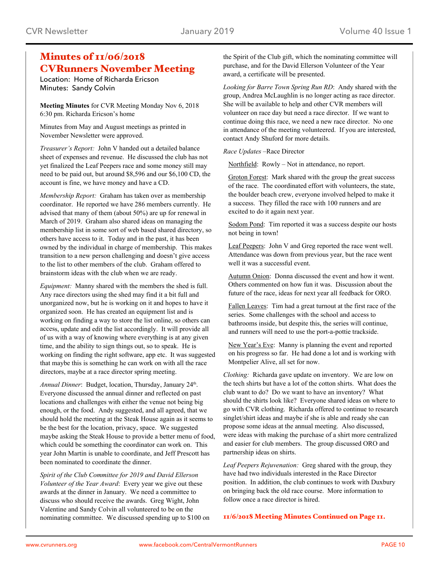## Minutes of  $\frac{1}{06}{2018}$ CVRunners November Meeting

Location: Home of Richarda Ericson Minutes: Sandy Colvin

**Meeting Minutes** for CVR Meeting Monday Nov 6, 2018 6:30 pm. Richarda Ericson's home

Minutes from May and August meetings as printed in November Newsletter were approved.

*Treasurer's Report:* John V handed out a detailed balance sheet of expenses and revenue. He discussed the club has not yet finalized the Leaf Peepers race and some money still may need to be paid out, but around \$8,596 and our \$6,100 CD, the account is fine, we have money and have a CD.

*Membership Report:* Graham has taken over as membership coordinator. He reported we have 286 members currently. He advised that many of them (about 50%) are up for renewal in March of 2019. Graham also shared ideas on managing the membership list in some sort of web based shared directory, so others have access to it. Today and in the past, it has been owned by the individual in charge of membership. This makes transition to a new person challenging and doesn't give access to the list to other members of the club. Graham offered to brainstorm ideas with the club when we are ready.

*Equipment:* Manny shared with the members the shed is full. Any race directors using the shed may find it a bit full and unorganized now, but he is working on it and hopes to have it organized soon. He has created an equipment list and is working on finding a way to store the list online, so others can access, update and edit the list accordingly. It will provide all of us with a way of knowing where everything is at any given time, and the ability to sign things out, so to speak. He is working on finding the right software, app etc. It was suggested that maybe this is something he can work on with all the race directors, maybe at a race director spring meeting.

Annual Dinner: Budget, location, Thursday, January 24<sup>th</sup>. Everyone discussed the annual dinner and reflected on past locations and challenges with either the venue not being big enough, or the food. Andy suggested, and all agreed, that we should hold the meeting at the Steak House again as it seems to be the best for the location, privacy, space. We suggested maybe asking the Steak House to provide a better menu of food, which could be something the coordinator can work on. This year John Martin is unable to coordinate, and Jeff Prescott has been nominated to coordinate the dinner.

*Spirit of the Club Committee for 2019 and David Ellerson Volunteer of the Year Award*: Every year we give out these awards at the dinner in January. We need a committee to discuss who should receive the awards. Greg Wight, John Valentine and Sandy Colvin all volunteered to be on the nominating committee. We discussed spending up to \$100 on

the Spirit of the Club gift, which the nominating committee will purchase, and for the David Ellerson Volunteer of the Year award, a certificate will be presented.

*Looking for Barre Town Spring Run RD*: Andy shared with the group, Andrea McLaughlin is no longer acting as race director. She will be available to help and other CVR members will volunteer on race day but need a race director. If we want to continue doing this race, we need a new race director. No one in attendance of the meeting volunteered. If you are interested, contact Andy Shuford for more details.

*Race Updates* –Race Director

Northfield: Rowly – Not in attendance, no report.

Groton Forest: Mark shared with the group the great success of the race. The coordinated effort with volunteers, the state, the boulder beach crew, everyone involved helped to make it a success. They filled the race with 100 runners and are excited to do it again next year.

Sodom Pond: Tim reported it was a success despite our hosts not being in town!

Leaf Peepers: John V and Greg reported the race went well. Attendance was down from previous year, but the race went well it was a successful event.

Autumn Onion: Donna discussed the event and how it went. Others commented on how fun it was. Discussion about the future of the race, ideas for next year all feedback for ORO.

Fallen Leaves: Tim had a great turnout at the first race of the series. Some challenges with the school and access to bathrooms inside, but despite this, the series will continue, and runners will need to use the port-a-pottie trackside.

New Year's Eve: Manny is planning the event and reported on his progress so far. He had done a lot and is working with Montpelier Alive, all set for now.

*Clothing:* Richarda gave update on inventory. We are low on the tech shirts but have a lot of the cotton shirts. What does the club want to do? Do we want to have an inventory? What should the shirts look like? Everyone shared ideas on where to go with CVR clothing. Richarda offered to continue to research singlet/shirt ideas and maybe if she is able and ready she can propose some ideas at the annual meeting. Also discussed, were ideas with making the purchase of a shirt more centralized and easier for club members. The group discussed ORO and partnership ideas on shirts.

*Leaf Peepers Rejuvenation:* Greg shared with the group, they have had two individuals interested in the Race Director position. In addition, the club continues to work with Duxbury on bringing back the old race course. More information to follow once a race director is hired.

11/6/2018 Meeting Minutes Continued on Page 11.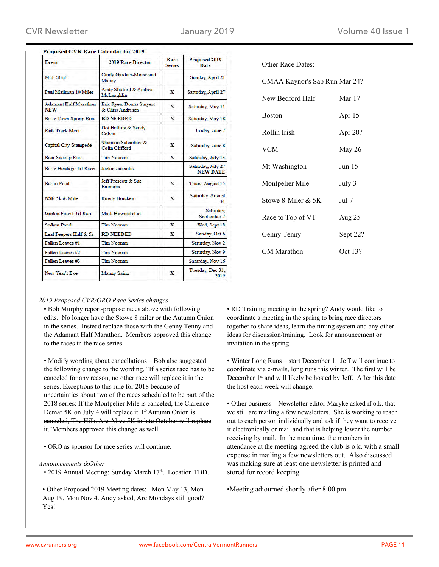| Event                                      | <b>2019 Race Director</b>                       | Race<br><b>Series</b> | Proposed 2019<br>Date                |
|--------------------------------------------|-------------------------------------------------|-----------------------|--------------------------------------|
| <b>Mutt Strutt</b>                         | Cindy Gardner-Morse and<br>Manny                |                       | Sunday, April 21                     |
| Paul Mailman 10 Miler                      | Andy Shuford & Andrea<br>McLaughlin             | X                     | Saturday, April 27                   |
| <b>Adamant Half Marathon</b><br><b>NEW</b> | Eric Ryea, Donna Smyers<br>& Chris Andresen     | X                     | Saturday, May 11                     |
| <b>Barre Town Spring Run</b>               | <b>RD NEEDED</b>                                | x                     | Saturday, May 18                     |
| Kids Track Meet                            | Dot Helling & Sandy<br>Colvin                   |                       | Friday, June 7                       |
| <b>Capital City Stampede</b>               | Shannon Salembier &<br><b>Colin Clifford</b>    | x                     | Saturday, June 8                     |
| Bear Swamp Run                             | <b>Tim Noonan</b>                               | X                     | Saturday, July 13                    |
| Barre Heritage Trl Race                    | <b>Jackie Jancaitis</b>                         |                       | Saturday, July 27<br><b>NEW DATE</b> |
| <b>Berlin Pond</b>                         | <b>Jeff Prescott &amp; Sue</b><br><b>Emmons</b> | X                     | Thurs, August 15                     |
| NSB 5k & Mile                              | <b>Rowly Brucken</b>                            | x                     | Saturday, August<br>31               |
| <b>Groton Forest Trl Run</b>               | Mark Howard et al.                              |                       | Saturday,<br>September 7             |
| <b>Sodom Pond</b>                          | <b>Tim Noonan</b>                               | x                     | Wed, Sept 18                         |
| Leaf Peepers Half & 5k                     | <b>RD NEEDED</b>                                | x                     | Sunday, Oct 6                        |
| Fallen Leaves #1                           | <b>Tim Noonan</b>                               |                       | Saturday, Nov 2                      |
| Fallen Leaves #2                           | <b>Tim Noonan</b>                               |                       | Saturday, Nov 9                      |
| Fallen Leaves #3                           | <b>Tim Noonan</b>                               |                       | Saturday, Nov 16                     |
| New Year's Eve                             | <b>Manny Sainz</b>                              | $\mathbf{x}$          | Tuesday, Dec 31.<br>2019             |

| GMAA Kaynor's Sap Run Mar 24? |          |
|-------------------------------|----------|
| New Bedford Half              | Mar 17   |
| <b>Boston</b>                 | Apr 15   |
| Rollin Irish                  | Apr 20?  |
| VCM                           | May 26   |
| Mt Washington                 | Jun 15   |
| Montpelier Mile               | July 3   |
| Stowe 8-Miler & 5K            | Jul 7    |
| Race to Top of VT             | Aug 25   |
| Genny Tenny                   | Sept 22? |
| <b>GM</b> Marathon            | Oct 13?  |

Other Race Dates:

#### *2019 Proposed CVR/ORO Race Series changes*

• Bob Murphy report-propose races above with following edits. No longer have the Stowe 8 miler or the Autumn Onion in the series. Instead replace those with the Genny Tenny and the Adamant Half Marathon. Members approved this change to the races in the race series.

• Modify wording about cancellations – Bob also suggested the following change to the wording. "If a series race has to be canceled for any reason, no other race will replace it in the series. Exceptions to this rule for 2018 because of uncertainties about two of the races scheduled to be part of the 2018 series: If the Montpelier Mile is canceled, the Clarence Demar 5K on July 4 will replace it. If Autumn Onion is canceled, The Hills Are Alive 5K in late October will replace it."Members approved this change as well.

• ORO as sponsor for race series will continue.

#### *Announcements &Other*

• 2019 Annual Meeting: Sunday March 17th. Location TBD.

• Other Proposed 2019 Meeting dates: Mon May 13, Mon Aug 19, Mon Nov 4. Andy asked, Are Mondays still good? Yes!

• RD Training meeting in the spring? Andy would like to coordinate a meeting in the spring to bring race directors together to share ideas, learn the timing system and any other ideas for discussion/training. Look for announcement or invitation in the spring.

• Winter Long Runs – start December 1. Jeff will continue to coordinate via e-mails, long runs this winter. The first will be December 1<sup>st</sup> and will likely be hosted by Jeff. After this date the host each week will change.

• Other business – Newsletter editor Maryke asked if o.k. that we still are mailing a few newsletters. She is working to reach out to each person individually and ask if they want to receive it electronically or mail and that is helping lower the number receiving by mail. In the meantime, the members in attendance at the meeting agreed the club is o.k. with a small expense in mailing a few newsletters out. Also discussed was making sure at least one newsletter is printed and stored for record keeping.

•Meeting adjourned shortly after 8:00 pm.